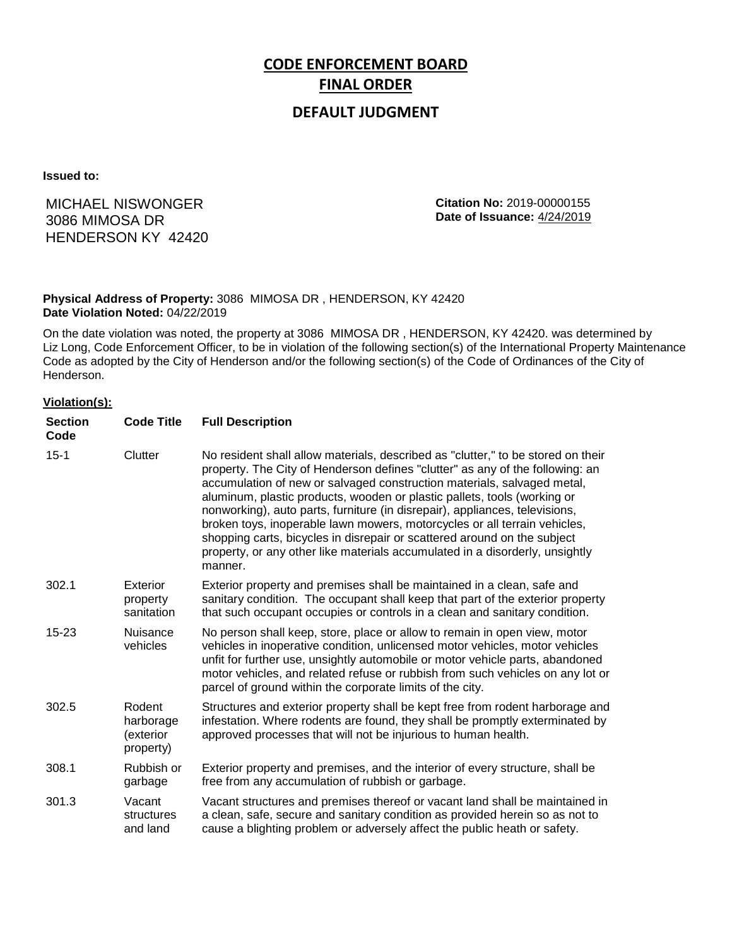# **CODE ENFORCEMENT BOARD FINAL ORDER**

## **DEFAULT JUDGMENT**

**Issued to:**

# MICHAEL NISWONGER 3086 MIMOSA DR HENDERSON KY 42420

**Citation No:** 2019-00000155 **Date of Issuance:** 4/24/2019

#### **Physical Address of Property:** 3086 MIMOSA DR , HENDERSON, KY 42420 **Date Violation Noted:** 04/22/2019

On the date violation was noted, the property at 3086 MIMOSA DR , HENDERSON, KY 42420. was determined by Liz Long, Code Enforcement Officer, to be in violation of the following section(s) of the International Property Maintenance Code as adopted by the City of Henderson and/or the following section(s) of the Code of Ordinances of the City of Henderson.

#### **Violation(s):**

| <b>Section</b><br>Code | <b>Code Title</b>                             | <b>Full Description</b>                                                                                                                                                                                                                                                                                                                                                                                                                                                                                                                                                                                                                                     |
|------------------------|-----------------------------------------------|-------------------------------------------------------------------------------------------------------------------------------------------------------------------------------------------------------------------------------------------------------------------------------------------------------------------------------------------------------------------------------------------------------------------------------------------------------------------------------------------------------------------------------------------------------------------------------------------------------------------------------------------------------------|
| $15 - 1$               | Clutter                                       | No resident shall allow materials, described as "clutter," to be stored on their<br>property. The City of Henderson defines "clutter" as any of the following: an<br>accumulation of new or salvaged construction materials, salvaged metal,<br>aluminum, plastic products, wooden or plastic pallets, tools (working or<br>nonworking), auto parts, furniture (in disrepair), appliances, televisions,<br>broken toys, inoperable lawn mowers, motorcycles or all terrain vehicles,<br>shopping carts, bicycles in disrepair or scattered around on the subject<br>property, or any other like materials accumulated in a disorderly, unsightly<br>manner. |
| 302.1                  | Exterior<br>property<br>sanitation            | Exterior property and premises shall be maintained in a clean, safe and<br>sanitary condition. The occupant shall keep that part of the exterior property<br>that such occupant occupies or controls in a clean and sanitary condition.                                                                                                                                                                                                                                                                                                                                                                                                                     |
| $15 - 23$              | Nuisance<br>vehicles                          | No person shall keep, store, place or allow to remain in open view, motor<br>vehicles in inoperative condition, unlicensed motor vehicles, motor vehicles<br>unfit for further use, unsightly automobile or motor vehicle parts, abandoned<br>motor vehicles, and related refuse or rubbish from such vehicles on any lot or<br>parcel of ground within the corporate limits of the city.                                                                                                                                                                                                                                                                   |
| 302.5                  | Rodent<br>harborage<br>(exterior<br>property) | Structures and exterior property shall be kept free from rodent harborage and<br>infestation. Where rodents are found, they shall be promptly exterminated by<br>approved processes that will not be injurious to human health.                                                                                                                                                                                                                                                                                                                                                                                                                             |
| 308.1                  | Rubbish or<br>garbage                         | Exterior property and premises, and the interior of every structure, shall be<br>free from any accumulation of rubbish or garbage.                                                                                                                                                                                                                                                                                                                                                                                                                                                                                                                          |
| 301.3                  | Vacant<br>structures<br>and land              | Vacant structures and premises thereof or vacant land shall be maintained in<br>a clean, safe, secure and sanitary condition as provided herein so as not to<br>cause a blighting problem or adversely affect the public heath or safety.                                                                                                                                                                                                                                                                                                                                                                                                                   |